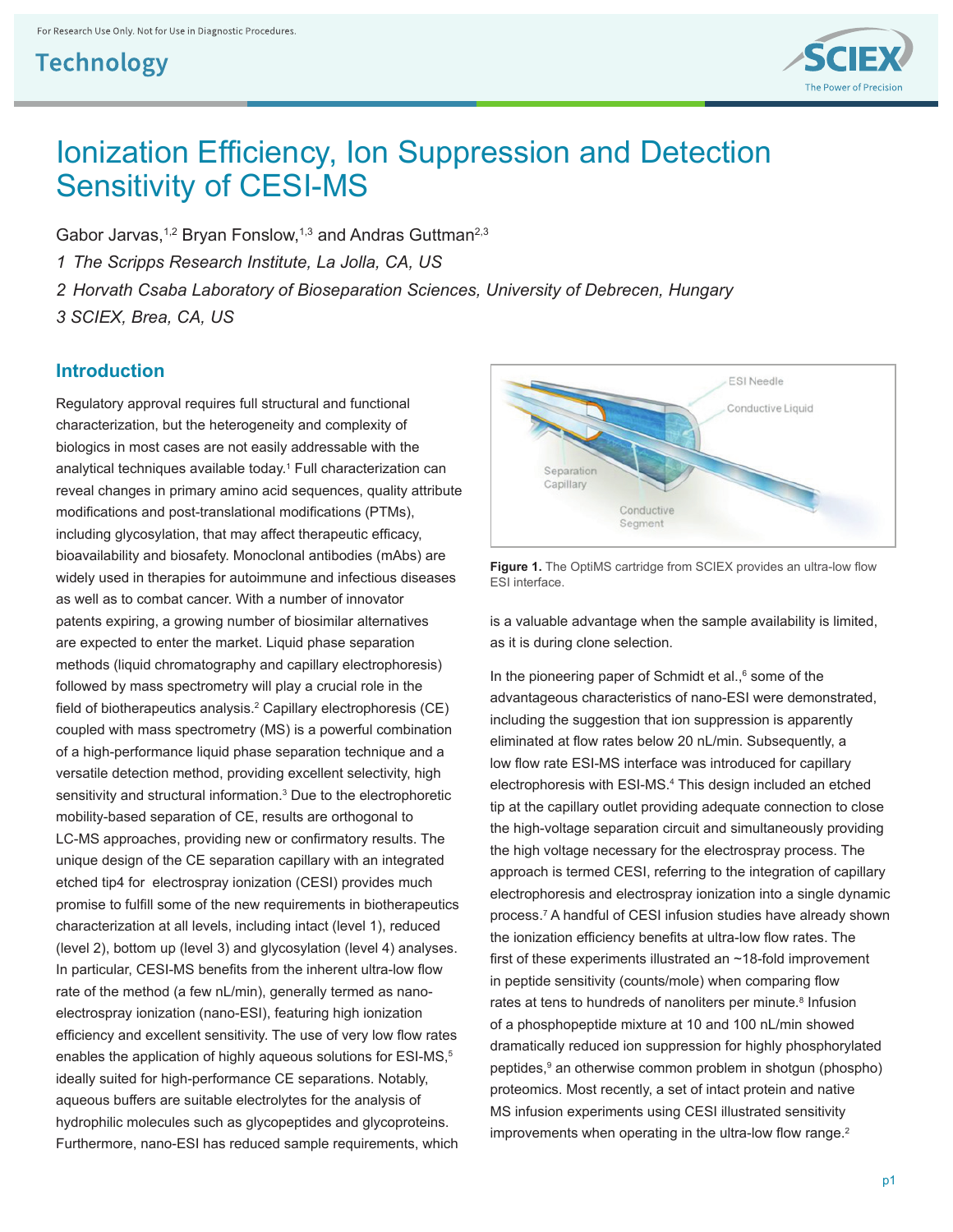

# Ionization Efficiency, Ion Suppression and Detection Sensitivity of CESI-MS

Gabor Jarvas,<sup>1,2</sup> Bryan Fonslow,<sup>1,3</sup> and Andras Guttman<sup>2,3</sup> *1 The Scripps Research Institute, La Jolla, CA, US 2 Horvath Csaba Laboratory of Bioseparation Sciences, University of Debrecen, Hungary 3 SCIEX, Brea, CA, US*

#### **Introduction**

Regulatory approval requires full structural and functional characterization, but the heterogeneity and complexity of biologics in most cases are not easily addressable with the analytical techniques available today.<sup>1</sup> Full characterization can reveal changes in primary amino acid sequences, quality attribute modifications and post-translational modifications (PTMs), including glycosylation, that may affect therapeutic efficacy, bioavailability and biosafety. Monoclonal antibodies (mAbs) are widely used in therapies for autoimmune and infectious diseases as well as to combat cancer. With a number of innovator patents expiring, a growing number of biosimilar alternatives are expected to enter the market. Liquid phase separation methods (liquid chromatography and capillary electrophoresis) followed by mass spectrometry will play a crucial role in the field of biotherapeutics analysis.<sup>2</sup> Capillary electrophoresis (CE) coupled with mass spectrometry (MS) is a powerful combination of a high-performance liquid phase separation technique and a versatile detection method, providing excellent selectivity, high sensitivity and structural information.<sup>3</sup> Due to the electrophoretic mobility-based separation of CE, results are orthogonal to LC-MS approaches, providing new or confirmatory results. The unique design of the CE separation capillary with an integrated etched tip4 for electrospray ionization (CESI) provides much promise to fulfill some of the new requirements in biotherapeutics characterization at all levels, including intact (level 1), reduced (level 2), bottom up (level 3) and glycosylation (level 4) analyses. In particular, CESI-MS benefits from the inherent ultra-low flow rate of the method (a few nL/min), generally termed as nanoelectrospray ionization (nano-ESI), featuring high ionization efficiency and excellent sensitivity. The use of very low flow rates enables the application of highly aqueous solutions for ESI-MS,<sup>5</sup> ideally suited for high-performance CE separations. Notably, aqueous buffers are suitable electrolytes for the analysis of hydrophilic molecules such as glycopeptides and glycoproteins. Furthermore, nano-ESI has reduced sample requirements, which



**Figure 1.** The OptiMS cartridge from SCIEX provides an ultra-low flow ESI interface.

is a valuable advantage when the sample availability is limited, as it is during clone selection.

In the pioneering paper of Schmidt et al.,<sup>6</sup> some of the advantageous characteristics of nano-ESI were demonstrated, including the suggestion that ion suppression is apparently eliminated at flow rates below 20 nL/min. Subsequently, a low flow rate ESI-MS interface was introduced for capillary electrophoresis with ESI-MS.4 This design included an etched tip at the capillary outlet providing adequate connection to close the high-voltage separation circuit and simultaneously providing the high voltage necessary for the electrospray process. The approach is termed CESI, referring to the integration of capillary electrophoresis and electrospray ionization into a single dynamic process.<sup>7</sup> A handful of CESI infusion studies have already shown the ionization efficiency benefits at ultra-low flow rates. The first of these experiments illustrated an ~18-fold improvement in peptide sensitivity (counts/mole) when comparing flow rates at tens to hundreds of nanoliters per minute.<sup>8</sup> Infusion of a phosphopeptide mixture at 10 and 100 nL/min showed dramatically reduced ion suppression for highly phosphorylated peptides,<sup>9</sup> an otherwise common problem in shotgun (phospho) proteomics. Most recently, a set of intact protein and native MS infusion experiments using CESI illustrated sensitivity improvements when operating in the ultra-low flow range.<sup>2</sup>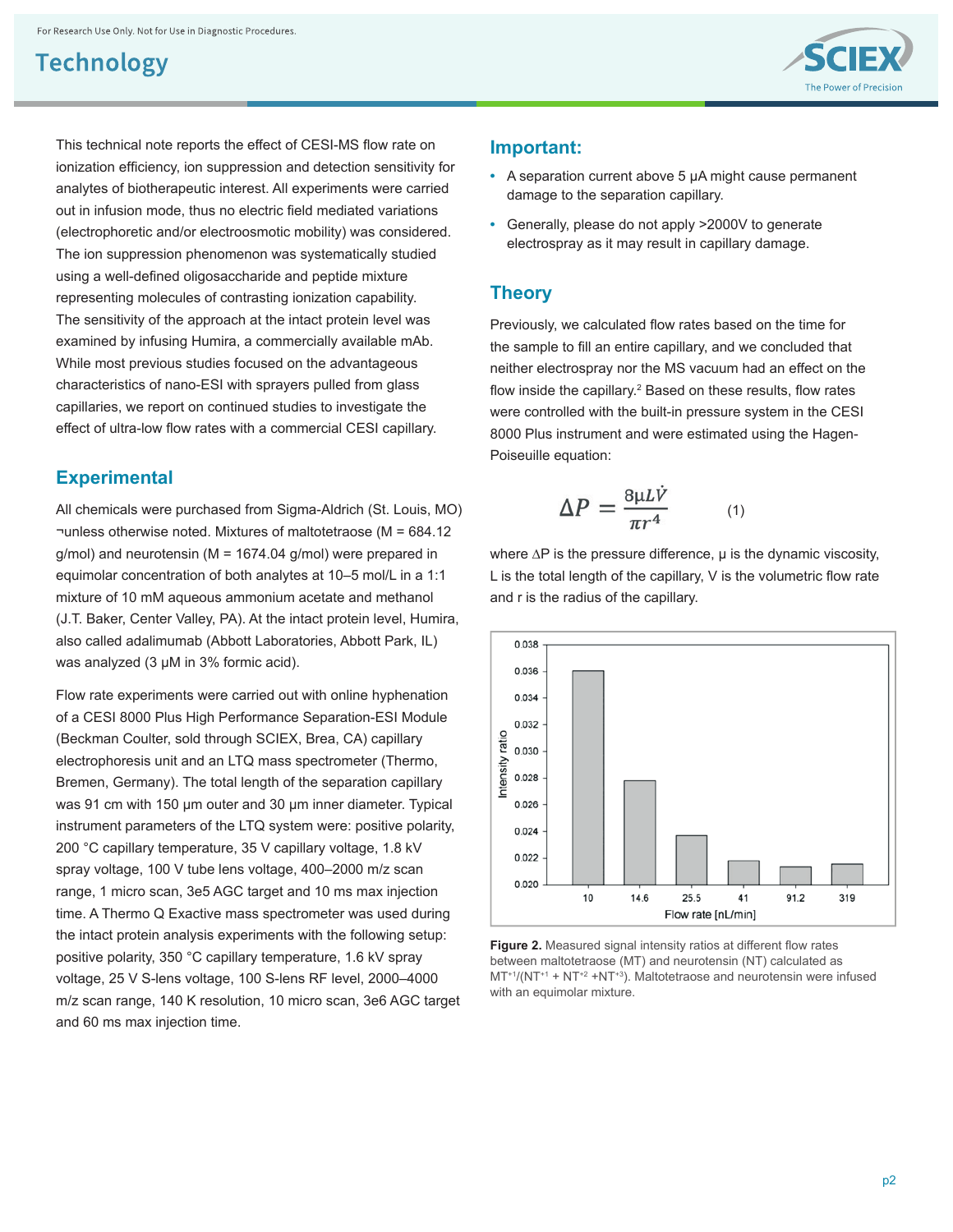This technical note reports the effect of CESI-MS flow rate on ionization efficiency, ion suppression and detection sensitivity for analytes of biotherapeutic interest. All experiments were carried out in infusion mode, thus no electric field mediated variations (electrophoretic and/or electroosmotic mobility) was considered. The ion suppression phenomenon was systematically studied using a well-defined oligosaccharide and peptide mixture representing molecules of contrasting ionization capability. The sensitivity of the approach at the intact protein level was examined by infusing Humira, a commercially available mAb. While most previous studies focused on the advantageous characteristics of nano-ESI with sprayers pulled from glass capillaries, we report on continued studies to investigate the effect of ultra-low flow rates with a commercial CESI capillary.

### **Experimental**

All chemicals were purchased from Sigma-Aldrich (St. Louis, MO) ¬unless otherwise noted. Mixtures of maltotetraose (M = 684.12 g/mol) and neurotensin (M = 1674.04 g/mol) were prepared in equimolar concentration of both analytes at 10–5 mol/L in a 1:1 mixture of 10 mM aqueous ammonium acetate and methanol (J.T. Baker, Center Valley, PA). At the intact protein level, Humira, also called adalimumab (Abbott Laboratories, Abbott Park, IL) was analyzed (3 μM in 3% formic acid).

Flow rate experiments were carried out with online hyphenation of a CESI 8000 Plus High Performance Separation-ESI Module (Beckman Coulter, sold through SCIEX, Brea, CA) capillary electrophoresis unit and an LTQ mass spectrometer (Thermo, Bremen, Germany). The total length of the separation capillary was 91 cm with 150 μm outer and 30 μm inner diameter. Typical instrument parameters of the LTQ system were: positive polarity, 200 °C capillary temperature, 35 V capillary voltage, 1.8 kV spray voltage, 100 V tube lens voltage, 400–2000 m/z scan range, 1 micro scan, 3e5 AGC target and 10 ms max injection time. A Thermo Q Exactive mass spectrometer was used during the intact protein analysis experiments with the following setup: positive polarity, 350 °C capillary temperature, 1.6 kV spray voltage, 25 V S-lens voltage, 100 S-lens RF level, 2000–4000 m/z scan range, 140 K resolution, 10 micro scan, 3e6 AGC target and 60 ms max injection time.



#### **Important:**

- **•** A separation current above 5 μA might cause permanent damage to the separation capillary.
- **•** Generally, please do not apply >2000V to generate electrospray as it may result in capillary damage.

#### **Theory**

Previously, we calculated flow rates based on the time for the sample to fill an entire capillary, and we concluded that neither electrospray nor the MS vacuum had an effect on the flow inside the capillary.<sup>2</sup> Based on these results, flow rates were controlled with the built-in pressure system in the CESI 8000 Plus instrument and were estimated using the Hagen-Poiseuille equation:

$$
\Delta P = \frac{8\mu L \dot{V}}{\pi r^4} \qquad (1
$$

where ∆P is the pressure difference, μ is the dynamic viscosity, L is the total length of the capillary,  $V$  is the volumetric flow rate and r is the radius of the capillary.

 $\big)$ 



**Figure 2.** Measured signal intensity ratios at different flow rates between maltotetraose (MT) and neurotensin (NT) calculated as  $MT^{+1}/(NT^{+1} + NT^{+2} + NT^{+3})$ . Maltotetraose and neurotensin were infused with an equimolar mixture.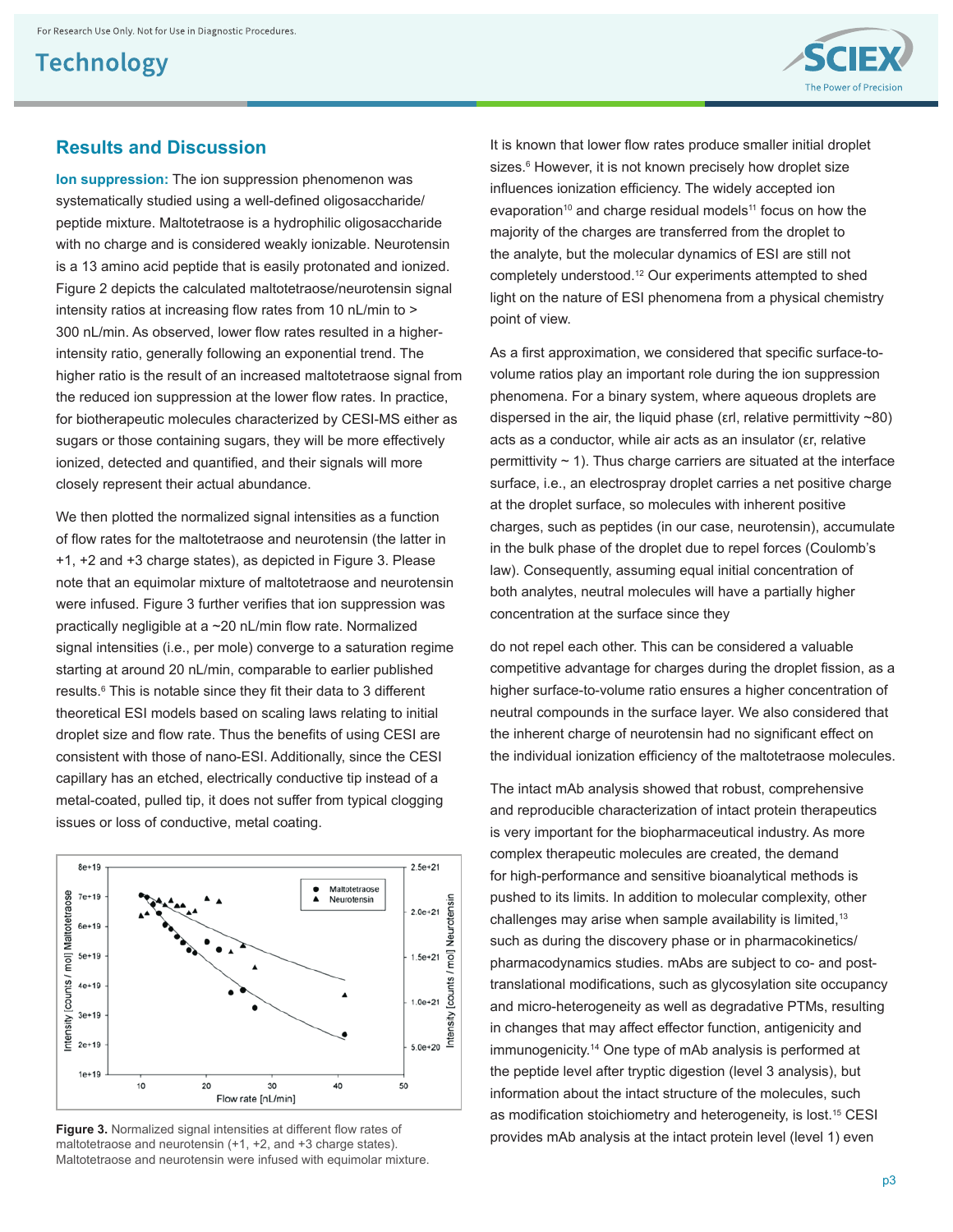

#### **Results and Discussion**

**Ion suppression:** The ion suppression phenomenon was systematically studied using a well-defined oligosaccharide/ peptide mixture. Maltotetraose is a hydrophilic oligosaccharide with no charge and is considered weakly ionizable. Neurotensin is a 13 amino acid peptide that is easily protonated and ionized. Figure 2 depicts the calculated maltotetraose/neurotensin signal intensity ratios at increasing flow rates from 10 nL/min to > 300 nL/min. As observed, lower flow rates resulted in a higherintensity ratio, generally following an exponential trend. The higher ratio is the result of an increased maltotetraose signal from the reduced ion suppression at the lower flow rates. In practice, for biotherapeutic molecules characterized by CESI-MS either as sugars or those containing sugars, they will be more effectively ionized, detected and quantified, and their signals will more closely represent their actual abundance.

We then plotted the normalized signal intensities as a function of flow rates for the maltotetraose and neurotensin (the latter in +1, +2 and +3 charge states), as depicted in Figure 3. Please note that an equimolar mixture of maltotetraose and neurotensin were infused. Figure 3 further verifies that ion suppression was practically negligible at a ~20 nL/min flow rate. Normalized signal intensities (i.e., per mole) converge to a saturation regime starting at around 20 nL/min, comparable to earlier published results.<sup>6</sup> This is notable since they fit their data to 3 different theoretical ESI models based on scaling laws relating to initial droplet size and flow rate. Thus the benefits of using CESI are consistent with those of nano-ESI. Additionally, since the CESI capillary has an etched, electrically conductive tip instead of a metal-coated, pulled tip, it does not suffer from typical clogging issues or loss of conductive, metal coating.



maltotetraose and neurotensin (+1, +2, and +3 charge states). Maltotetraose and neurotensin were infused with equimolar mixture. It is known that lower flow rates produce smaller initial droplet sizes.<sup>6</sup> However, it is not known precisely how droplet size influences ionization efficiency. The widely accepted ion evaporation<sup>10</sup> and charge residual models<sup>11</sup> focus on how the majority of the charges are transferred from the droplet to the analyte, but the molecular dynamics of ESI are still not completely understood.12 Our experiments attempted to shed light on the nature of ESI phenomena from a physical chemistry point of view.

As a first approximation, we considered that specific surface-tovolume ratios play an important role during the ion suppression phenomena. For a binary system, where aqueous droplets are dispersed in the air, the liquid phase ( $\varepsilon$ rl, relative permittivity ~80) acts as a conductor, while air acts as an insulator (εr, relative permittivity  $\sim$  1). Thus charge carriers are situated at the interface surface, i.e., an electrospray droplet carries a net positive charge at the droplet surface, so molecules with inherent positive charges, such as peptides (in our case, neurotensin), accumulate in the bulk phase of the droplet due to repel forces (Coulomb's law). Consequently, assuming equal initial concentration of both analytes, neutral molecules will have a partially higher concentration at the surface since they

do not repel each other. This can be considered a valuable competitive advantage for charges during the droplet fission, as a higher surface-to-volume ratio ensures a higher concentration of neutral compounds in the surface layer. We also considered that the inherent charge of neurotensin had no significant effect on the individual ionization efficiency of the maltotetraose molecules.

The intact mAb analysis showed that robust, comprehensive and reproducible characterization of intact protein therapeutics is very important for the biopharmaceutical industry. As more complex therapeutic molecules are created, the demand for high-performance and sensitive bioanalytical methods is pushed to its limits. In addition to molecular complexity, other challenges may arise when sample availability is limited,<sup>13</sup> such as during the discovery phase or in pharmacokinetics/ pharmacodynamics studies. mAbs are subject to co- and posttranslational modifications, such as glycosylation site occupancy and micro-heterogeneity as well as degradative PTMs, resulting in changes that may affect effector function, antigenicity and immunogenicity.14 One type of mAb analysis is performed at the peptide level after tryptic digestion (level 3 analysis), but information about the intact structure of the molecules, such as modification stoichiometry and heterogeneity, is lost.<sup>15</sup> CESI **Figure 3.** Normalized signal intensities at different flow rates of **Figure 3. Provides mAb analysis at the intact protein level (level 1) even Figure 3. Normalized signal intensities at different flow rates of Pr**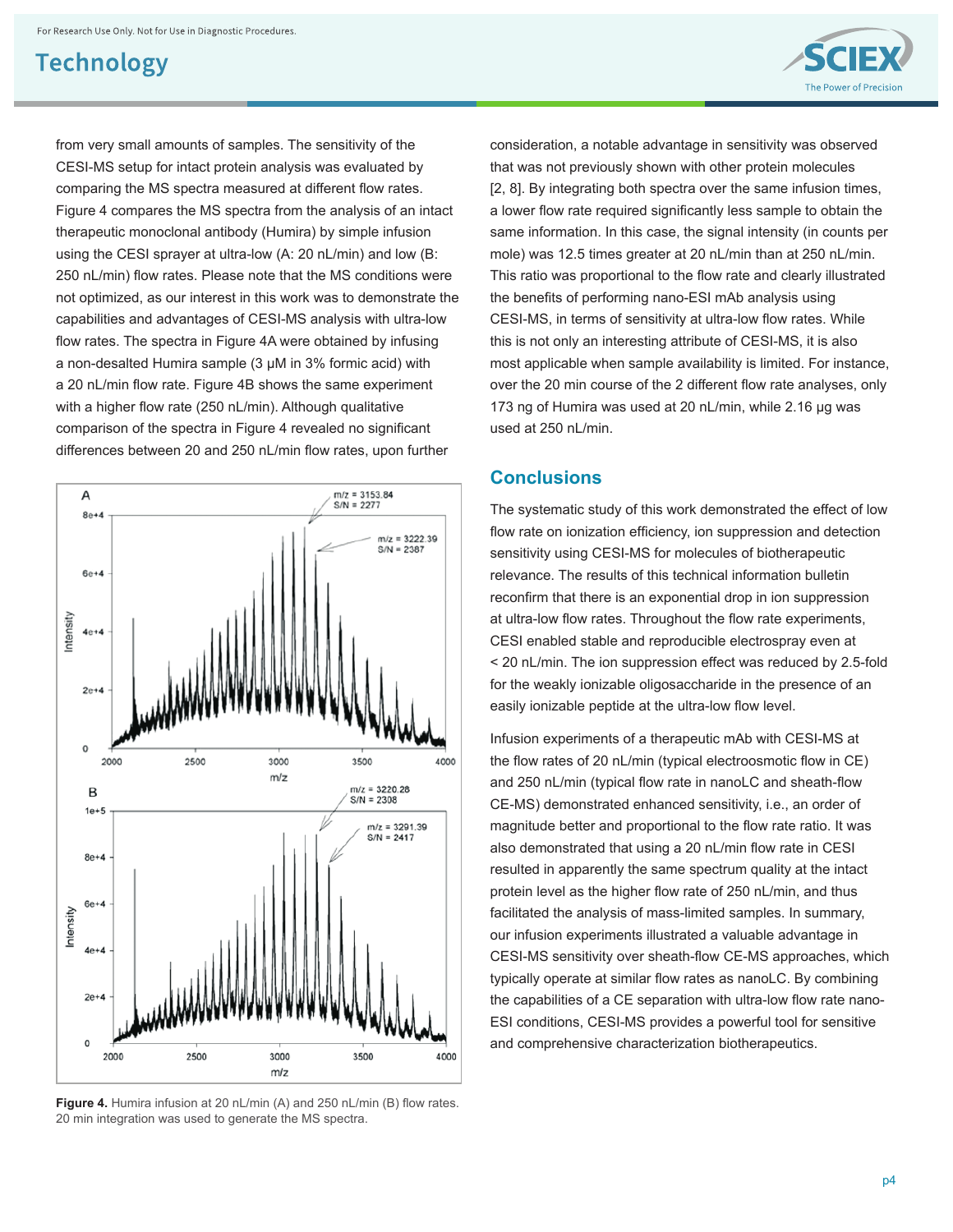from very small amounts of samples. The sensitivity of the CESI-MS setup for intact protein analysis was evaluated by comparing the MS spectra measured at different flow rates. Figure 4 compares the MS spectra from the analysis of an intact therapeutic monoclonal antibody (Humira) by simple infusion using the CESI sprayer at ultra-low (A: 20 nL/min) and low (B: 250 nL/min) flow rates. Please note that the MS conditions were not optimized, as our interest in this work was to demonstrate the capabilities and advantages of CESI-MS analysis with ultra-low flow rates. The spectra in Figure 4A were obtained by infusing a non-desalted Humira sample (3 μM in 3% formic acid) with a 20 nL/min flow rate. Figure 4B shows the same experiment with a higher flow rate (250 nL/min). Although qualitative comparison of the spectra in Figure 4 revealed no significant differences between 20 and 250 nL/min flow rates, upon further



Figure 4. Humira infusion at 20 nL/min (A) and 250 nL/min (B) flow rates. 20 min integration was used to generate the MS spectra.

consideration, a notable advantage in sensitivity was observed that was not previously shown with other protein molecules [2, 8]. By integrating both spectra over the same infusion times, a lower flow rate required significantly less sample to obtain the same information. In this case, the signal intensity (in counts per mole) was 12.5 times greater at 20 nL/min than at 250 nL/min. This ratio was proportional to the flow rate and clearly illustrated the benefits of performing nano-ESI mAb analysis using CESI-MS, in terms of sensitivity at ultra-low flow rates. While this is not only an interesting attribute of CESI-MS, it is also most applicable when sample availability is limited. For instance, over the 20 min course of the 2 different flow rate analyses, only 173 ng of Humira was used at 20 nL/min, while 2.16 μg was used at 250 nL/min.

#### **Conclusions**

The systematic study of this work demonstrated the effect of low flow rate on ionization efficiency, ion suppression and detection sensitivity using CESI-MS for molecules of biotherapeutic relevance. The results of this technical information bulletin reconfirm that there is an exponential drop in ion suppression at ultra-low flow rates. Throughout the flow rate experiments, CESI enabled stable and reproducible electrospray even at < 20 nL/min. The ion suppression effect was reduced by 2.5-fold for the weakly ionizable oligosaccharide in the presence of an easily ionizable peptide at the ultra-low flow level.

Infusion experiments of a therapeutic mAb with CESI-MS at the flow rates of 20 nL/min (typical electroosmotic flow in CE) and 250 nL/min (typical flow rate in nanoLC and sheath-flow CE-MS) demonstrated enhanced sensitivity, i.e., an order of magnitude better and proportional to the flow rate ratio. It was also demonstrated that using a 20 nL/min flow rate in CESI resulted in apparently the same spectrum quality at the intact protein level as the higher flow rate of 250 nL/min, and thus facilitated the analysis of mass-limited samples. In summary, our infusion experiments illustrated a valuable advantage in CESI-MS sensitivity over sheath-flow CE-MS approaches, which typically operate at similar flow rates as nanoLC. By combining the capabilities of a CE separation with ultra-low flow rate nano-ESI conditions, CESI-MS provides a powerful tool for sensitive and comprehensive characterization biotherapeutics.